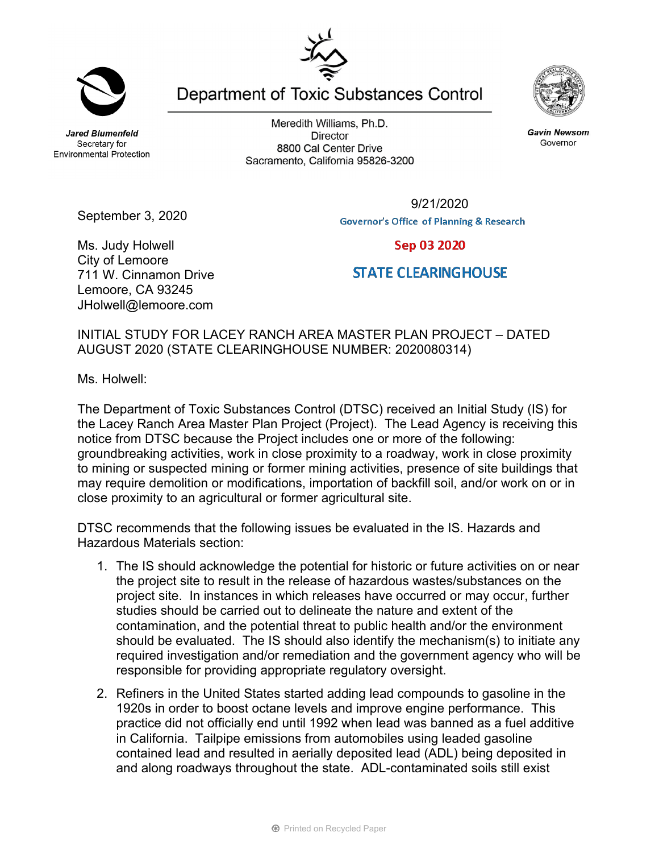**Jared Blumenfeld** Secretary for **Environmental Protection** 

Meredith Williams, Ph.D. **Director** 8800 Cal Center Drive Sacramento, California 95826-3200

> 9/21/2020**Governor's Office of Planning & Research**

Ms. Judy Holwell City of Lemoore 711 W. Cinnamon Drive Lemoore, CA 93245 JHolwell@lemoore.com

September 3, 2020

## INITIAL STUDY FOR LACEY RANCH AREA MASTER PLAN PROJECT – DATED AUGUST 2020 (STATE CLEARINGHOUSE NUMBER: 2020080314)

Ms. Holwell:

The Department of Toxic Substances Control (DTSC) received an Initial Study (IS) for the Lacey Ranch Area Master Plan Project (Project). The Lead Agency is receiving this notice from DTSC because the Project includes one or more of the following: groundbreaking activities, work in close proximity to a roadway, work in close proximity to mining or suspected mining or former mining activities, presence of site buildings that may require demolition or modifications, importation of backfill soil, and/or work on or in close proximity to an agricultural or former agricultural site.

DTSC recommends that the following issues be evaluated in the IS. Hazards and Hazardous Materials section:

- 1. The IS should acknowledge the potential for historic or future activities on or near the project site to result in the release of hazardous wastes/substances on the project site. In instances in which releases have occurred or may occur, further studies should be carried out to delineate the nature and extent of the contamination, and the potential threat to public health and/or the environment should be evaluated. The IS should also identify the mechanism(s) to initiate any required investigation and/or remediation and the government agency who will be responsible for providing appropriate regulatory oversight.
- 2. Refiners in the United States started adding lead compounds to gasoline in the 1920s in order to boost octane levels and improve engine performance. This practice did not officially end until 1992 when lead was banned as a fuel additive in California. Tailpipe emissions from automobiles using leaded gasoline contained lead and resulted in aerially deposited lead (ADL) being deposited in and along roadways throughout the state. ADL-contaminated soils still exist

Department of Toxic Substances Control

**Gavin Newsom** Governor

Sep 03 2020

**STATE CLEARINGHOUSE** 



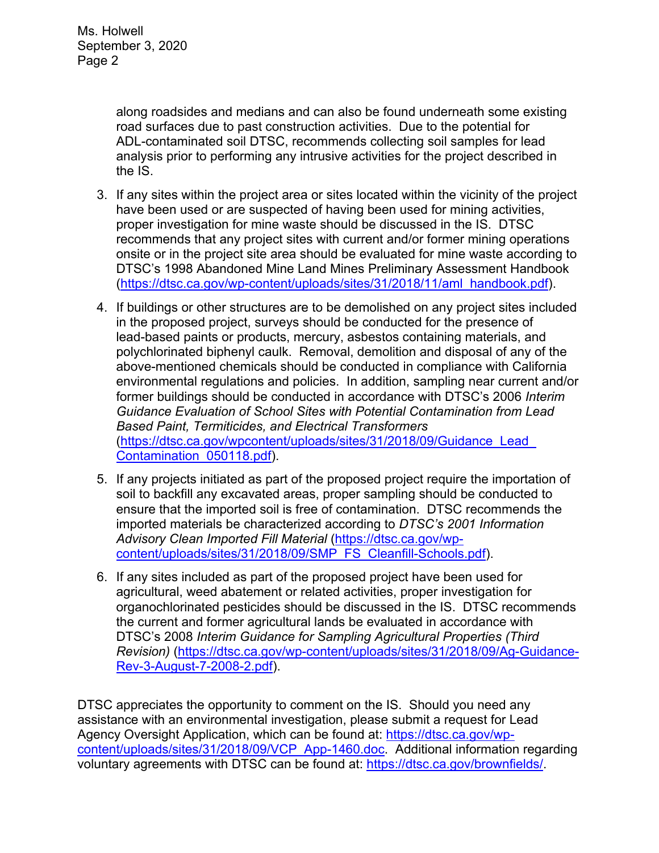along roadsides and medians and can also be found underneath some existing road surfaces due to past construction activities. Due to the potential for ADL-contaminated soil DTSC, recommends collecting soil samples for lead analysis prior to performing any intrusive activities for the project described in the IS.

- 3. If any sites within the project area or sites located within the vicinity of the project have been used or are suspected of having been used for mining activities, proper investigation for mine waste should be discussed in the IS. DTSC recommends that any project sites with current and/or former mining operations onsite or in the project site area should be evaluated for mine waste according to DTSC's 1998 Abandoned Mine Land Mines Preliminary Assessment Handbook (https://dtsc.ca.gov/wp-content/uploads/sites/31/2018/11/aml\_handbook.pdf).
- 4. If buildings or other structures are to be demolished on any project sites included in the proposed project, surveys should be conducted for the presence of lead-based paints or products, mercury, asbestos containing materials, and polychlorinated biphenyl caulk. Removal, demolition and disposal of any of the above-mentioned chemicals should be conducted in compliance with California environmental regulations and policies. In addition, sampling near current and/or former buildings should be conducted in accordance with DTSC's 2006 *Interim Guidance Evaluation of School Sites with Potential Contamination from Lead Based Paint, Termiticides, and Electrical Transformers*  (https://dtsc.ca.gov/wpcontent/uploads/sites/31/2018/09/Guidance\_Lead\_ Contamination\_050118.pdf).
- 5. If any projects initiated as part of the proposed project require the importation of soil to backfill any excavated areas, proper sampling should be conducted to ensure that the imported soil is free of contamination. DTSC recommends the imported materials be characterized according to *DTSC's 2001 Information Advisory Clean Imported Fill Material* (https://dtsc.ca.gov/wpcontent/uploads/sites/31/2018/09/SMP\_FS\_Cleanfill-Schools.pdf).
- 6. If any sites included as part of the proposed project have been used for agricultural, weed abatement or related activities, proper investigation for organochlorinated pesticides should be discussed in the IS. DTSC recommends the current and former agricultural lands be evaluated in accordance with DTSC's 2008 *Interim Guidance for Sampling Agricultural Properties (Third Revision)* (https://dtsc.ca.gov/wp-content/uploads/sites/31/2018/09/Ag-Guidance-Rev-3-August-7-2008-2.pdf).

DTSC appreciates the opportunity to comment on the IS. Should you need any assistance with an environmental investigation, please submit a request for Lead Agency Oversight Application, which can be found at: https://dtsc.ca.gov/wpcontent/uploads/sites/31/2018/09/VCP\_App-1460.doc. Additional information regarding voluntary agreements with DTSC can be found at: https://dtsc.ca.gov/brownfields/.